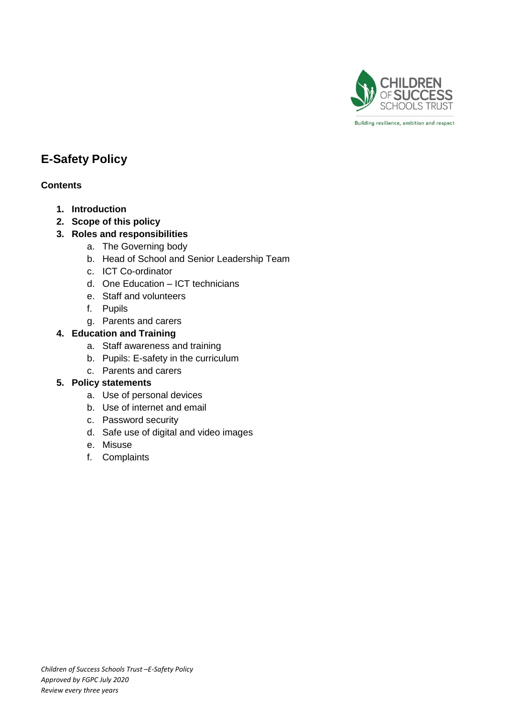

Building resilience, ambition and respect

# **E-Safety Policy**

# **Contents**

- **1. Introduction**
- **2. Scope of this policy**
- **3. Roles and responsibilities**
	- a. The Governing body
	- b. Head of School and Senior Leadership Team
	- c. ICT Co-ordinator
	- d. One Education ICT technicians
	- e. Staff and volunteers
	- f. Pupils
	- g. Parents and carers

# **4. Education and Training**

- a. Staff awareness and training
- b. Pupils: E-safety in the curriculum
- c. Parents and carers

# **5. Policy statements**

- a. Use of personal devices
- b. Use of internet and email
- c. Password security
- d. Safe use of digital and video images
- e. Misuse
- f. Complaints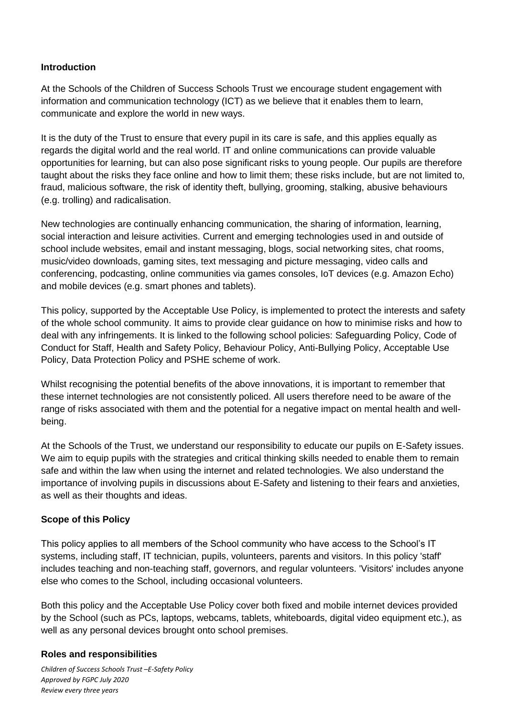#### **Introduction**

At the Schools of the Children of Success Schools Trust we encourage student engagement with information and communication technology (ICT) as we believe that it enables them to learn, communicate and explore the world in new ways.

It is the duty of the Trust to ensure that every pupil in its care is safe, and this applies equally as regards the digital world and the real world. IT and online communications can provide valuable opportunities for learning, but can also pose significant risks to young people. Our pupils are therefore taught about the risks they face online and how to limit them; these risks include, but are not limited to, fraud, malicious software, the risk of identity theft, bullying, grooming, stalking, abusive behaviours (e.g. trolling) and radicalisation.

New technologies are continually enhancing communication, the sharing of information, learning, social interaction and leisure activities. Current and emerging technologies used in and outside of school include websites, email and instant messaging, blogs, social networking sites, chat rooms, music/video downloads, gaming sites, text messaging and picture messaging, video calls and conferencing, podcasting, online communities via games consoles, IoT devices (e.g. Amazon Echo) and mobile devices (e.g. smart phones and tablets).

This policy, supported by the Acceptable Use Policy, is implemented to protect the interests and safety of the whole school community. It aims to provide clear guidance on how to minimise risks and how to deal with any infringements. It is linked to the following school policies: Safeguarding Policy, Code of Conduct for Staff, Health and Safety Policy, Behaviour Policy, Anti-Bullying Policy, Acceptable Use Policy, Data Protection Policy and PSHE scheme of work.

Whilst recognising the potential benefits of the above innovations, it is important to remember that these internet technologies are not consistently policed. All users therefore need to be aware of the range of risks associated with them and the potential for a negative impact on mental health and wellbeing.

At the Schools of the Trust, we understand our responsibility to educate our pupils on E-Safety issues. We aim to equip pupils with the strategies and critical thinking skills needed to enable them to remain safe and within the law when using the internet and related technologies. We also understand the importance of involving pupils in discussions about E-Safety and listening to their fears and anxieties, as well as their thoughts and ideas.

# **Scope of this Policy**

This policy applies to all members of the School community who have access to the School's IT systems, including staff, IT technician, pupils, volunteers, parents and visitors. In this policy 'staff' includes teaching and non-teaching staff, governors, and regular volunteers. 'Visitors' includes anyone else who comes to the School, including occasional volunteers.

Both this policy and the Acceptable Use Policy cover both fixed and mobile internet devices provided by the School (such as PCs, laptops, webcams, tablets, whiteboards, digital video equipment etc.), as well as any personal devices brought onto school premises.

#### **Roles and responsibilities**

*Children of Success Schools Trust –E-Safety Policy Approved by FGPC July 2020 Review every three years*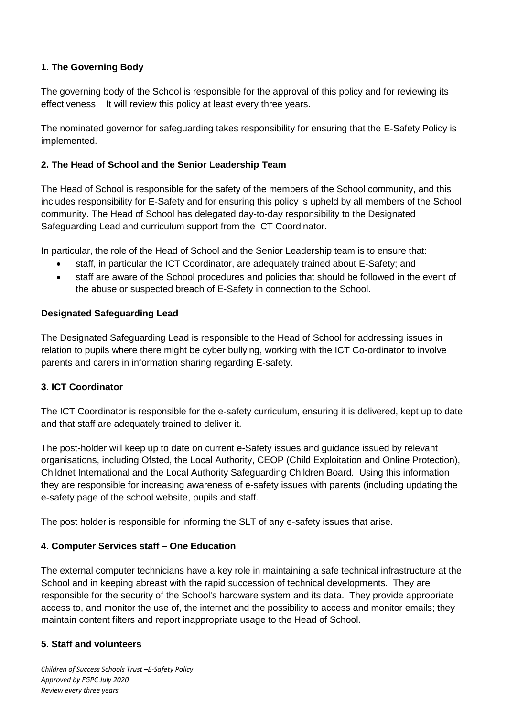# **1. The Governing Body**

The governing body of the School is responsible for the approval of this policy and for reviewing its effectiveness. It will review this policy at least every three years.

The nominated governor for safeguarding takes responsibility for ensuring that the E-Safety Policy is implemented.

# **2. The Head of School and the Senior Leadership Team**

The Head of School is responsible for the safety of the members of the School community, and this includes responsibility for E-Safety and for ensuring this policy is upheld by all members of the School community. The Head of School has delegated day-to-day responsibility to the Designated Safeguarding Lead and curriculum support from the ICT Coordinator.

In particular, the role of the Head of School and the Senior Leadership team is to ensure that:

- staff, in particular the ICT Coordinator, are adequately trained about E-Safety; and
- staff are aware of the School procedures and policies that should be followed in the event of the abuse or suspected breach of E-Safety in connection to the School.

# **Designated Safeguarding Lead**

The Designated Safeguarding Lead is responsible to the Head of School for addressing issues in relation to pupils where there might be cyber bullying, working with the ICT Co-ordinator to involve parents and carers in information sharing regarding E-safety.

# **3. ICT Coordinator**

The ICT Coordinator is responsible for the e-safety curriculum, ensuring it is delivered, kept up to date and that staff are adequately trained to deliver it.

The post-holder will keep up to date on current e-Safety issues and guidance issued by relevant organisations, including Ofsted, the Local Authority, CEOP (Child Exploitation and Online Protection), Childnet International and the Local Authority Safeguarding Children Board. Using this information they are responsible for increasing awareness of e-safety issues with parents (including updating the e-safety page of the school website, pupils and staff.

The post holder is responsible for informing the SLT of any e-safety issues that arise.

# **4. Computer Services staff – One Education**

The external computer technicians have a key role in maintaining a safe technical infrastructure at the School and in keeping abreast with the rapid succession of technical developments. They are responsible for the security of the School's hardware system and its data. They provide appropriate access to, and monitor the use of, the internet and the possibility to access and monitor emails; they maintain content filters and report inappropriate usage to the Head of School.

# **5. Staff and volunteers**

*Children of Success Schools Trust –E-Safety Policy Approved by FGPC July 2020 Review every three years*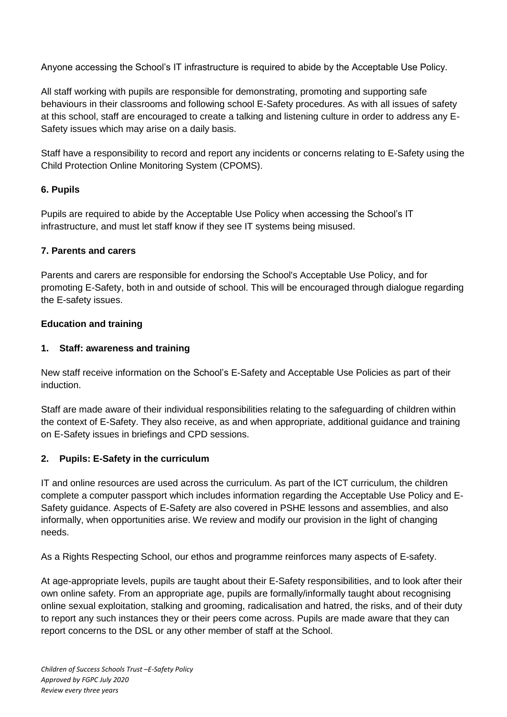Anyone accessing the School's IT infrastructure is required to abide by the Acceptable Use Policy.

All staff working with pupils are responsible for demonstrating, promoting and supporting safe behaviours in their classrooms and following school E-Safety procedures. As with all issues of safety at this school, staff are encouraged to create a talking and listening culture in order to address any E-Safety issues which may arise on a daily basis.

Staff have a responsibility to record and report any incidents or concerns relating to E-Safety using the Child Protection Online Monitoring System (CPOMS).

# **6. Pupils**

Pupils are required to abide by the Acceptable Use Policy when accessing the School's IT infrastructure, and must let staff know if they see IT systems being misused.

#### **7. Parents and carers**

Parents and carers are responsible for endorsing the School's Acceptable Use Policy, and for promoting E-Safety, both in and outside of school. This will be encouraged through dialogue regarding the E-safety issues.

#### **Education and training**

#### **1. Staff: awareness and training**

New staff receive information on the School's E-Safety and Acceptable Use Policies as part of their induction.

Staff are made aware of their individual responsibilities relating to the safeguarding of children within the context of E-Safety. They also receive, as and when appropriate, additional guidance and training on E-Safety issues in briefings and CPD sessions.

# **2. Pupils: E-Safety in the curriculum**

IT and online resources are used across the curriculum. As part of the ICT curriculum, the children complete a computer passport which includes information regarding the Acceptable Use Policy and E-Safety guidance. Aspects of E-Safety are also covered in PSHE lessons and assemblies, and also informally, when opportunities arise. We review and modify our provision in the light of changing needs.

As a Rights Respecting School, our ethos and programme reinforces many aspects of E-safety.

At age-appropriate levels, pupils are taught about their E-Safety responsibilities, and to look after their own online safety. From an appropriate age, pupils are formally/informally taught about recognising online sexual exploitation, stalking and grooming, radicalisation and hatred, the risks, and of their duty to report any such instances they or their peers come across. Pupils are made aware that they can report concerns to the DSL or any other member of staff at the School.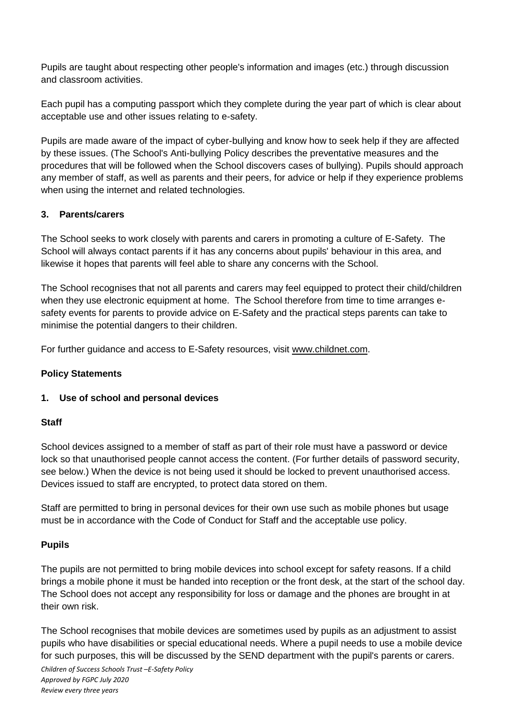Pupils are taught about respecting other people's information and images (etc.) through discussion and classroom activities.

Each pupil has a computing passport which they complete during the year part of which is clear about acceptable use and other issues relating to e-safety.

Pupils are made aware of the impact of cyber-bullying and know how to seek help if they are affected by these issues. (The School's Anti-bullying Policy describes the preventative measures and the procedures that will be followed when the School discovers cases of bullying). Pupils should approach any member of staff, as well as parents and their peers, for advice or help if they experience problems when using the internet and related technologies.

# **3. Parents/carers**

The School seeks to work closely with parents and carers in promoting a culture of E-Safety. The School will always contact parents if it has any concerns about pupils' behaviour in this area, and likewise it hopes that parents will feel able to share any concerns with the School.

The School recognises that not all parents and carers may feel equipped to protect their child/children when they use electronic equipment at home. The School therefore from time to time arranges esafety events for parents to provide advice on E-Safety and the practical steps parents can take to minimise the potential dangers to their children.

For further guidance and access to E-Safety resources, visit [www.childnet.com.](file:///C:/Users/User/Downloads/www.childnet.com)

# **Policy Statements**

# **1. Use of school and personal devices**

# **Staff**

School devices assigned to a member of staff as part of their role must have a password or device lock so that unauthorised people cannot access the content. (For further details of password security, see below.) When the device is not being used it should be locked to prevent unauthorised access. Devices issued to staff are encrypted, to protect data stored on them.

Staff are permitted to bring in personal devices for their own use such as mobile phones but usage must be in accordance with the Code of Conduct for Staff and the acceptable use policy.

# **Pupils**

The pupils are not permitted to bring mobile devices into school except for safety reasons. If a child brings a mobile phone it must be handed into reception or the front desk, at the start of the school day. The School does not accept any responsibility for loss or damage and the phones are brought in at their own risk.

The School recognises that mobile devices are sometimes used by pupils as an adjustment to assist pupils who have disabilities or special educational needs. Where a pupil needs to use a mobile device for such purposes, this will be discussed by the SEND department with the pupil's parents or carers.

*Children of Success Schools Trust –E-Safety Policy Approved by FGPC July 2020 Review every three years*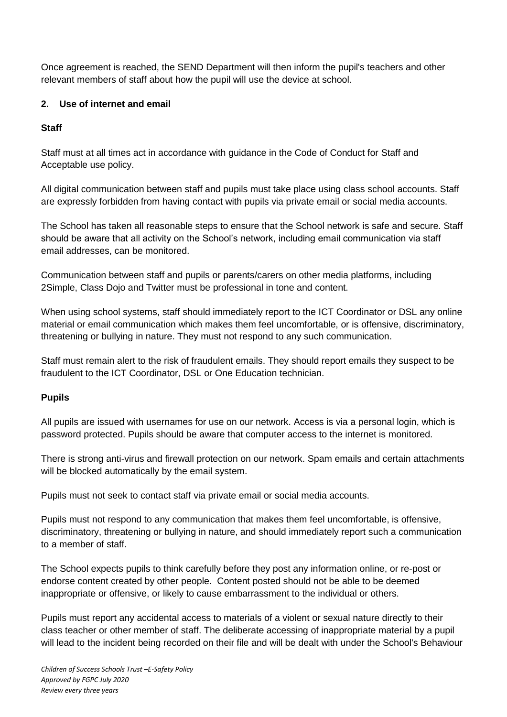Once agreement is reached, the SEND Department will then inform the pupil's teachers and other relevant members of staff about how the pupil will use the device at school.

# **2. Use of internet and email**

# **Staff**

Staff must at all times act in accordance with guidance in the Code of Conduct for Staff and Acceptable use policy.

All digital communication between staff and pupils must take place using class school accounts. Staff are expressly forbidden from having contact with pupils via private email or social media accounts.

The School has taken all reasonable steps to ensure that the School network is safe and secure. Staff should be aware that all activity on the School's network, including email communication via staff email addresses, can be monitored.

Communication between staff and pupils or parents/carers on other media platforms, including 2Simple, Class Dojo and Twitter must be professional in tone and content.

When using school systems, staff should immediately report to the ICT Coordinator or DSL any online material or email communication which makes them feel uncomfortable, or is offensive, discriminatory, threatening or bullying in nature. They must not respond to any such communication.

Staff must remain alert to the risk of fraudulent emails. They should report emails they suspect to be fraudulent to the ICT Coordinator, DSL or One Education technician.

# **Pupils**

All pupils are issued with usernames for use on our network. Access is via a personal login, which is password protected. Pupils should be aware that computer access to the internet is monitored.

There is strong anti-virus and firewall protection on our network. Spam emails and certain attachments will be blocked automatically by the email system.

Pupils must not seek to contact staff via private email or social media accounts.

Pupils must not respond to any communication that makes them feel uncomfortable, is offensive, discriminatory, threatening or bullying in nature, and should immediately report such a communication to a member of staff.

The School expects pupils to think carefully before they post any information online, or re-post or endorse content created by other people. Content posted should not be able to be deemed inappropriate or offensive, or likely to cause embarrassment to the individual or others.

Pupils must report any accidental access to materials of a violent or sexual nature directly to their class teacher or other member of staff. The deliberate accessing of inappropriate material by a pupil will lead to the incident being recorded on their file and will be dealt with under the School's Behaviour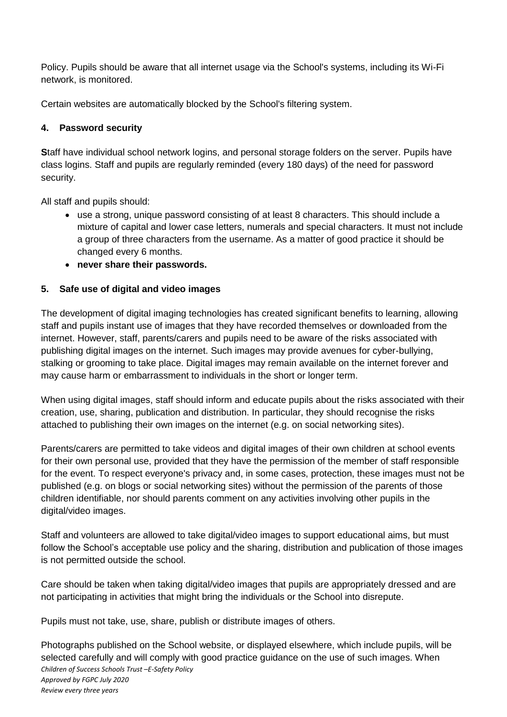Policy. Pupils should be aware that all internet usage via the School's systems, including its Wi-Fi network, is monitored.

Certain websites are automatically blocked by the School's filtering system.

# **4. Password security**

**S**taff have individual school network logins, and personal storage folders on the server. Pupils have class logins. Staff and pupils are regularly reminded (every 180 days) of the need for password security.

All staff and pupils should:

- use a strong, unique password consisting of at least 8 characters. This should include a mixture of capital and lower case letters, numerals and special characters. It must not include a group of three characters from the username. As a matter of good practice it should be changed every 6 months.
- **never share their passwords.**

# **5. Safe use of digital and video images**

The development of digital imaging technologies has created significant benefits to learning, allowing staff and pupils instant use of images that they have recorded themselves or downloaded from the internet. However, staff, parents/carers and pupils need to be aware of the risks associated with publishing digital images on the internet. Such images may provide avenues for cyber-bullying, stalking or grooming to take place. Digital images may remain available on the internet forever and may cause harm or embarrassment to individuals in the short or longer term.

When using digital images, staff should inform and educate pupils about the risks associated with their creation, use, sharing, publication and distribution. In particular, they should recognise the risks attached to publishing their own images on the internet (e.g. on social networking sites).

Parents/carers are permitted to take videos and digital images of their own children at school events for their own personal use, provided that they have the permission of the member of staff responsible for the event. To respect everyone's privacy and, in some cases, protection, these images must not be published (e.g. on blogs or social networking sites) without the permission of the parents of those children identifiable, nor should parents comment on any activities involving other pupils in the digital/video images.

Staff and volunteers are allowed to take digital/video images to support educational aims, but must follow the School's acceptable use policy and the sharing, distribution and publication of those images is not permitted outside the school.

Care should be taken when taking digital/video images that pupils are appropriately dressed and are not participating in activities that might bring the individuals or the School into disrepute.

Pupils must not take, use, share, publish or distribute images of others.

*Children of Success Schools Trust –E-Safety Policy Approved by FGPC July 2020 Review every three years* Photographs published on the School website, or displayed elsewhere, which include pupils, will be selected carefully and will comply with good practice guidance on the use of such images. When